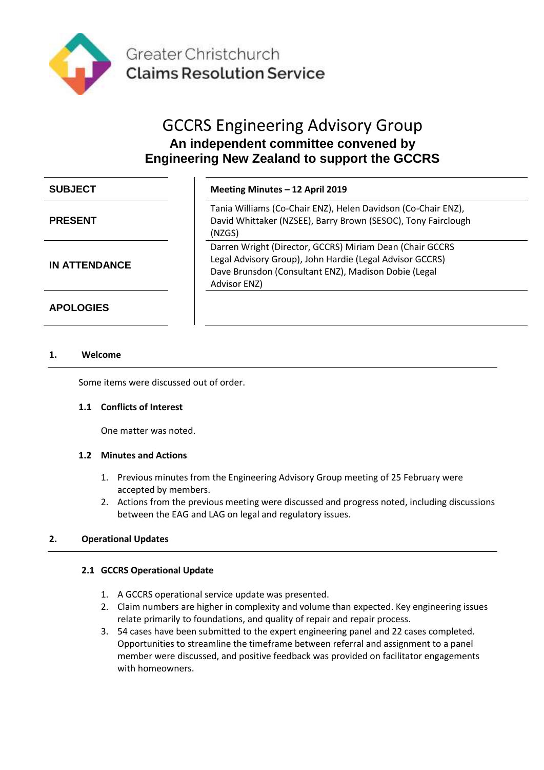

# GCCRS Engineering Advisory Group **An independent committee convened by Engineering New Zealand to support the GCCRS**

| <b>SUBJECT</b>       | Meeting Minutes - 12 April 2019                                                                                                                                                              |
|----------------------|----------------------------------------------------------------------------------------------------------------------------------------------------------------------------------------------|
| <b>PRESENT</b>       | Tania Williams (Co-Chair ENZ), Helen Davidson (Co-Chair ENZ),<br>David Whittaker (NZSEE), Barry Brown (SESOC), Tony Fairclough<br>(NZGS)                                                     |
| <b>IN ATTENDANCE</b> | Darren Wright (Director, GCCRS) Miriam Dean (Chair GCCRS<br>Legal Advisory Group), John Hardie (Legal Advisor GCCRS)<br>Dave Brunsdon (Consultant ENZ), Madison Dobie (Legal<br>Advisor ENZ) |

**APOLOGIES**

# **1. Welcome**

Some items were discussed out of order.

#### **1.1 Conflicts of Interest**

One matter was noted.

#### **1.2 Minutes and Actions**

- 1. Previous minutes from the Engineering Advisory Group meeting of 25 February were accepted by members.
- 2. Actions from the previous meeting were discussed and progress noted, including discussions between the EAG and LAG on legal and regulatory issues.

#### **2. Operational Updates**

#### **2.1 GCCRS Operational Update**

- 1. A GCCRS operational service update was presented.
- 2. Claim numbers are higher in complexity and volume than expected. Key engineering issues relate primarily to foundations, and quality of repair and repair process.
- 3. 54 cases have been submitted to the expert engineering panel and 22 cases completed. Opportunities to streamline the timeframe between referral and assignment to a panel member were discussed, and positive feedback was provided on facilitator engagements with homeowners.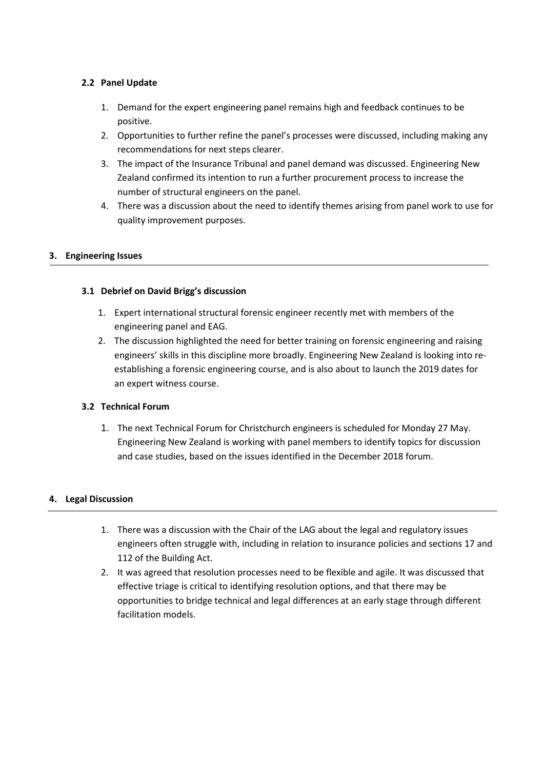# **2.2 Panel Update**

- 1. Demand for the expert engineering panel remains high and feedback continues to be positive.
- 2. Opportunities to further refine the panel's processes were discussed, including making any recommendations for next steps clearer.
- 3. The impact of the Insurance Tribunal and panel demand was discussed. Engineering New Zealand confirmed its intention to run a further procurement process to increase the number of structural engineers on the panel.
- 4. There was a discussion about the need to identify themes arising from panel work to use for quality improvement purposes.

# **3. Engineering Issues**

# **3.1 Debrief on David Brigg's discussion**

- 1. Expert international structural forensic engineer recently met with members of the engineering panel and EAG.
- 2. The discussion highlighted the need for better training on forensic engineering and raising engineers' skills in this discipline more broadly. Engineering New Zealand is looking into reestablishing a forensic engineering course, and is also about to launch the 2019 dates for an expert witness course.

# **3.2 Technical Forum**

1. The next Technical Forum for Christchurch engineers is scheduled for Monday 27 May. Engineering New Zealand is working with panel members to identify topics for discussion and case studies, based on the issues identified in the December 2018 forum.

# **4. Legal Discussion**

- 1. There was a discussion with the Chair of the LAG about the legal and regulatory issues engineers often struggle with, including in relation to insurance policies and sections 17 and 112 of the Building Act.
- 2. It was agreed that resolution processes need to be flexible and agile. It was discussed that effective triage is critical to identifying resolution options, and that there may be opportunities to bridge technical and legal differences at an early stage through different facilitation models.